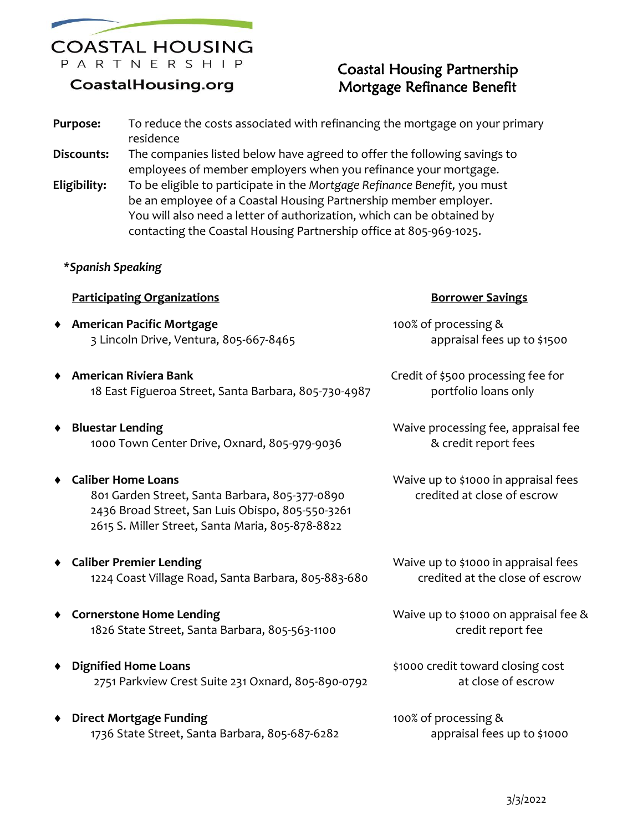

## Coastal Housing.org

## Coastal Housing Partnership Mortgage Refinance Benefit

| <b>Purpose:</b>                    | To reduce the costs associated with refinancing the mortgage on your primary<br>residence                                                                                                                                                                                                     |                                                     |
|------------------------------------|-----------------------------------------------------------------------------------------------------------------------------------------------------------------------------------------------------------------------------------------------------------------------------------------------|-----------------------------------------------------|
| Discounts:                         | The companies listed below have agreed to offer the following savings to<br>employees of member employers when you refinance your mortgage.                                                                                                                                                   |                                                     |
| Eligibility:<br>*Spanish Speaking  | To be eligible to participate in the Mortgage Refinance Benefit, you must<br>be an employee of a Coastal Housing Partnership member employer.<br>You will also need a letter of authorization, which can be obtained by<br>contacting the Coastal Housing Partnership office at 805-969-1025. |                                                     |
| <b>Participating Organizations</b> |                                                                                                                                                                                                                                                                                               | <b>Borrower Savings</b>                             |
|                                    | <b>American Pacific Mortgage</b><br>3 Lincoln Drive, Ventura, 805-667-8465                                                                                                                                                                                                                    | 100% of processing &<br>appraisal fees up to \$1500 |
|                                    | ♦ American Riviera Bank                                                                                                                                                                                                                                                                       | Credit of \$500 processing fee for                  |

18 East Figueroa Street, Santa Barbara, 805-730-4987 portfolio loans only

- **Bluestar Lending Bluestar Lending Bluestar Lending CO** 1000 Town Center Drive, Oxnard, 805-979-9036 & credit report fees
- **Caliber Home Loans Caliber Home Loans Caliber Home Loans Caliber Home Loans** 801 Garden Street, Santa Barbara, 805-377-0890 credited at close of escrow 2436 Broad Street, San Luis Obispo, 805-550-3261 2615 S. Miller Street, Santa Maria, 805-878-8822
- ◆ **Caliber Premier Lending** and the Mail of Maive up to \$1000 in appraisal fees 1224 Coast Village Road, Santa Barbara, 805-883-680 credited at the close of escrow
- ◆ **Cornerstone Home Lending Waive up to \$1000 on appraisal fee &** 1826 State Street, Santa Barbara, 805-563-1100 credit report fee
- **Dignified Home Loans Dignified Home Loans** 2751 Parkview Crest Suite 231 Oxnard, 805-890-0792 at close of escrow
- ◆ Direct Mortgage Funding and the settlem and the settlem of the settlem and the settlem and the settlem and the settlem and the settlem and the settlem and the settlem and the settlem and the settlem and the settlem and 1736 State Street, Santa Barbara, 805-687-6282 appraisal fees up to \$1000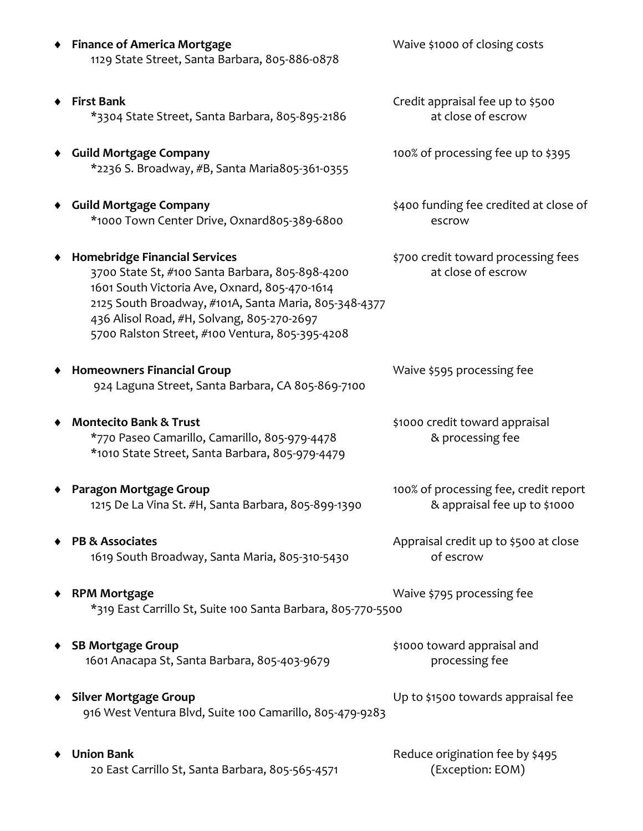- ◆ Finance of America Mortgage **Waive \$1000 of closing costs** 1129 State Street, Santa Barbara, 805-886-0878
- **First Bank First Bank Credit appraisal fee up to \$500** \*3304 State Street, Santa Barbara, 805-895-2186 at close of escrow
- **Guild Mortgage Company** 100% of processing fee up to \$395 \*2236 S. Broadway, #B, Santa Maria805-361-0355
- ◆ Guild Mortgage Company **because at a set of the set of the S400** funding fee credited at close of \*1000 Town Center Drive, Oxnard805-389-6800 escrow
- ◆ Homebridge Financial Services **by the service of the service of the service of the service of the service of the service of the service of the services of the service of the service of the service of the service of the** 3700 State St, #100 Santa Barbara, 805-898-4200 at close of escrow 1601 South Victoria Ave, Oxnard, 805-470-1614 2125 South Broadway, #101A, Santa Maria, 805-348-4377 436 Alisol Road, #H, Solvang, 805-270-2697 5700 Ralston Street, #100 Ventura, 805-395-4208
- ◆ Homeowners Financial Group **Waive \$595 processing fee** 924 Laguna Street, Santa Barbara, CA 805-869-7100
	- **Montecito Bank & Trust X Montecito Bank & Trust X 1000** *store is a set of the state of the state of the state of the state of the state of the state of the state of the state of the state of the state of the sta* \*770 Paseo Camarillo, Camarillo, 805-979-4478 & processing fee \*1010 State Street, Santa Barbara, 805-979-4479
- ◆ Paragon Mortgage Group and the state of the state of processing fee, credit report 1215 De La Vina St. #H, Santa Barbara, 805-899-1390& appraisal fee up to \$1000
- ◆ PB & Associates and a set of the Appraisal credit up to \$500 at close 1619 South Broadway, Santa Maria, 805-310-5430 of escrow
- ◆ RPM Mortgage **by a strategie of the Contract of Australia** Waive \$795 processing fee \*319 East Carrillo St, Suite 100 Santa Barbara, 805-770-5500
- ◆ SB Mortgage Group and appraisal and the state of the state of the state of the state of the state of the state of the state of the state of the state of the state of the state of the state of the state of the state of t 1601 Anacapa St, Santa Barbara, 805-403-9679 processing fee
- **Silver Mortgage Group Silver Mortgage Group Compared Account 1** and Up to \$1500 towards appraisal fee 916 West Ventura Blvd, Suite 100 Camarillo, 805-479-9283
- ◆ Union Bank **by Sank and Account and Account and Account and Account and Reduce origination fee by \$495** 20 East Carrillo St, Santa Barbara, 805-565-4571 (Exception: EOM)